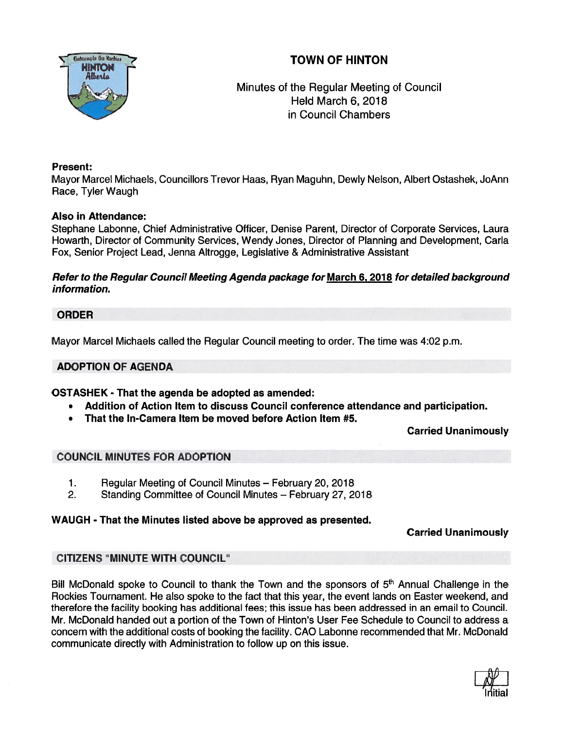# TOWN OF HINTON



Minutes of the Regular Meeting of Council Held March 6, 2018 in Council Chambers

## Present:

Mayor Marcel Michaels, Councillors Trevor Haas, Ryan Maguhn, Dewly Nelson, Albert Ostashek, JoAnn Race, Tyler Waugh

## Also in Attendance:

Stephane Labonne, Chief Administrative Officer, Denise Parent, Director of Corporate Services, Laura Howarth, Director of Community Services, Wendy Jones, Director of Planning and Development, Carla Fox, Senior Project Lead, Jenna Altrogge, Legislative & Administrative Assistant

## Refer to the Regular Council Meeting Agenda package for March 6, 2018 for detailed background information.

## ORDER

Mayor Marcel Michaels called the Regular Council meeting to order. The time was 4:02 p.m.

## ADOPTION OF AGENDA

## OSTASHEK - That the agenda be adopted as amended:

- •Addition of Action Item to discuss Council conference attendance and participation.
- That the In-Camera Item be moved before Action Item #5.

## Carried Unanimously

## COUNCIL MINUTES FOR ADOPTION

- 1. Regular Meeting of Council Minutes February 20, 2018
- 2. Standing Committee of Council Minutes February 27, 2018

## WAUGH - That the Minutes listed above be approved as presented.

## Carried Unanimously

## CITIZENS "MINUTE WITH COUNCIL"

Bill McDonald spoke to Council to thank the Town and the sponsors of  $5<sup>th</sup>$  Annual Challenge in the Rockies Tournament. He also spoke to the fact that this year, the event lands on Easter weekend, and therefore the facility booking has additional fees; this issue has been addressed in an email to Council. Mr. McDonald handed out <sup>a</sup> portion of the Town of Hinton's User Fee Schedule to Council to address <sup>a</sup> concern with the additional costs of booking the facility. CAO Labonne recommended that Mr. McDonald communicate directly with Administration to follow up on this issue.

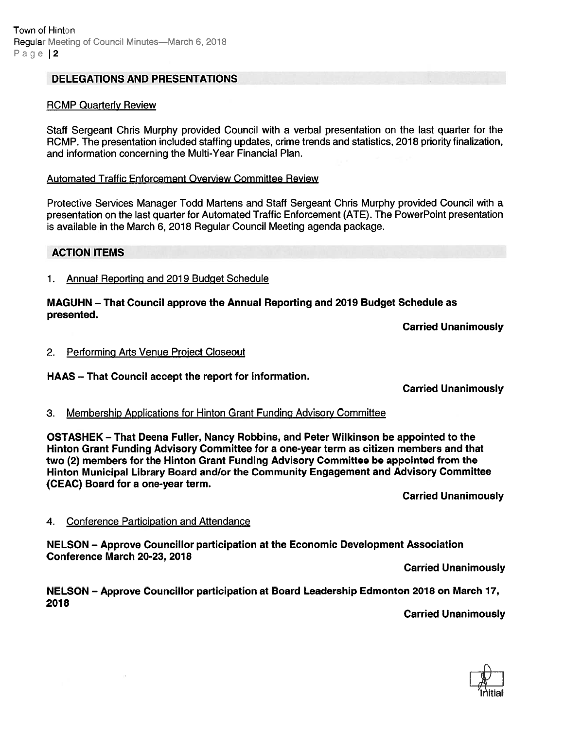#### DELEGATIONS AND PRESENTATIONS

#### RCMP Quarterly Review

Staff Sergeant Chris Murphy provided Council with <sup>a</sup> verbal presentation on the last quarter for the RCMP. The presentation included staffing updates, crime trends and statistics, 2018 priority finalization, and information concerning the Multi-Year Financial Plan.

#### Automated Traffic Enforcement Overview Committee Review

Protective Services Manager Todd Martens and Staff Sergeant Chris Murphy provided Council with <sup>a</sup> presentation on the last quarter for Automated Traffic Enforcement (ATE). The PowerPoint presentation is available in the March 6, 2018 Regular Council Meeting agenda package.

#### ACTION ITEMS

1. Annual Reporting and 2019 Budget Schedule

#### MAGUHN — That Council approve the Annual Reporting and 2019 Budget Schedule as presented.

Carried Unanimously

#### 2. Performing Arts Venue Project Closeout

HAAS — That Council accep<sup>t</sup> the repor<sup>t</sup> for information.

Carried Unanimously

#### 3. Membership Applications for Hinton Grant Funding Advisory Committee

OSTASHEK — That Deena Fuller, Nancy Robbins, and Peter Wilkinson be appointed to the Hinton Grant Funding Advisory Committee for <sup>a</sup> one-year term as citizen members and that two (2) members for the Hinton Grant Funding Advisory Committee be appointed from the Hinton Municipal Library Board and/or the Community Engagement and Advisory Committee (CEAC) Board for <sup>a</sup> one-year term.

Carried Unanimously

#### 4. Conference Participation and Attendance

NELSON — Approve Councillor participation at the Economic Development Association Conference March 20-23, 2018

Carried Unanimously

#### NELSON — Approve Councillor participation at Board Leadership Edmonton <sup>2018</sup> on March 17, 2078

Carried Unanimously

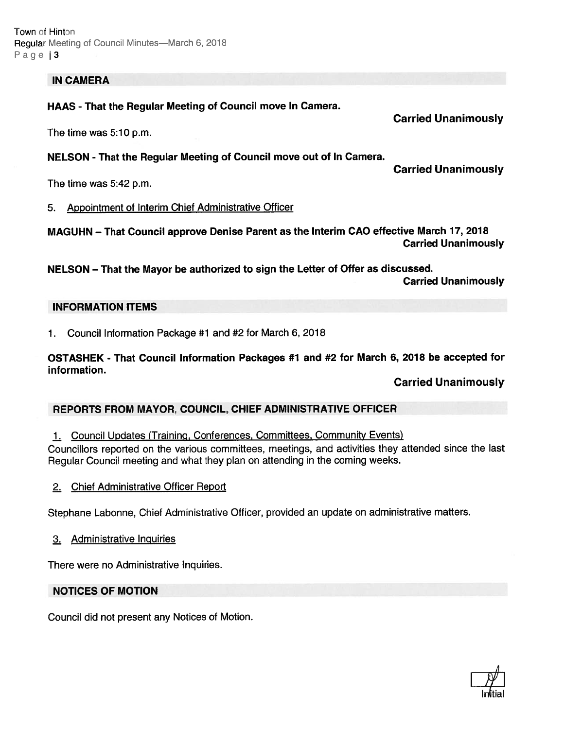#### IN CAMERA

HAAS - That the Regular Meeting of Council move In Camera.

The time was 5:10 p.m.

#### NELSON -That the Regular Meeting of Council move out of In Camera.

Carried Unanimously

Carried Unanimously

The time was 5:42 p.m.

5. Appointment of Interim Chief Administrative Officer

MAGUHN — That Council approve Denise Parent as the Interim CAO effective March 17, <sup>2018</sup> Carried Unanimously

NELSON — That the Mayor be authorized to sign the Letter of Offer as discussed. Carried Unanimously

#### INFORMATION ITEMS

1. Council Information Package #1 and #2 for March 6,2018

OSTASHEK - That Council Information Packages #1 and #2 for March 6, 2018 be accepted for information.

Carried Unanimously

#### REPORTS FROM MAYOR, COUNCIL, CHIEF ADMINISTRATIVE OFFICER

1. Council Updates (Training, Conferences, Committees, Community Events) Councillors reported on the various committees, meetings, and activities they attended since the last Regular Council meeting and what they <sup>p</sup>lan on attending in the coming weeks.

2. Chief Administrative Officer Report

Stephane Labonne, Chief Administrative Officer, provided an update on administrative matters.

3. Administrative Inquiries

There were no Administrative Inquiries.

#### NOTICES OF MOTION

Council did not presen<sup>t</sup> any Notices of Motion.